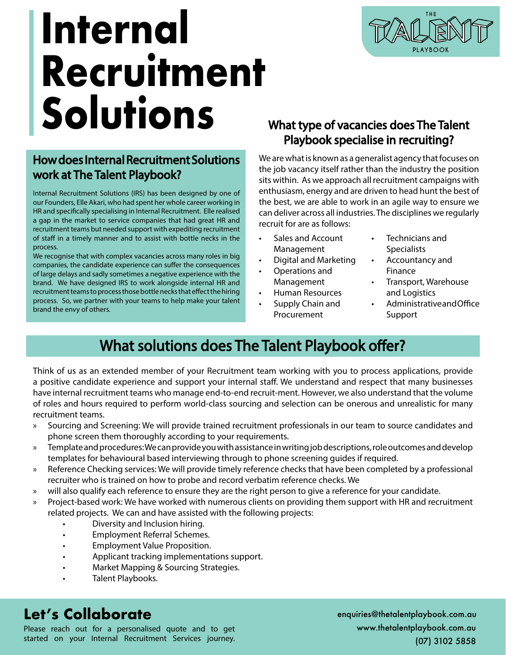

# **Internal Recruitment Solutions**

## How does Internal Recruitment Solutions work at The Talent Playbook?

Internal Recruitment Solutions (IRS) has been designed by one of our Founders, Elle Akari, who had spent her whole career working in HR and specifically specialising in Internal Recruitment. Elle realised a gap in the market to service companies that had great HR and recruitment teams but needed support with expediting recruitment of staff in a timely manner and to assist with bottle necks in the process.

We recognise that with complex vacancies across many roles in big companies, the candidate experience can suffer the consequences of large delays and sadly sometimes a negative experience with the brand. We have designed IRS to work alongside internal HR and recruitment teams to process those bottle necks that effect the hiring process. So, we partner with your teams to help make your talent brand the envy of others.

### What type of vacancies does The Talent Playbook specialise in recruiting?

We are what is known as a generalist agency that focuses on the job vacancy itself rather than the industry the position sits within. As we approach all recruitment campaigns with enthusiasm, energy and are driven to head hunt the best of the best, we are able to work in an agile way to ensure we can deliver across all industries. The disciplines we regularly recruit for are as follows:

- Sales and Account Management
- Digital and Marketing
- Operations and Management
- Human Resources
- Supply Chain and Procurement
- Technicians and **Specialists**
- Accountancy and Finance
- Transport, Warehouse and Logistics
- Administrative and Office Support

## What solutions does The Talent Playbook offer?

Think of us as an extended member of your Recruitment team working with you to process applications, provide a positive candidate experience and support your internal staff. We understand and respect that many businesses have internal recruitment teams who manage end-to-end recruit-ment. However, we also understand that the volume of roles and hours required to perform world-class sourcing and selection can be onerous and unrealistic for many recruitment teams.

- » Sourcing and Screening: We will provide trained recruitment professionals in our team to source candidates and phone screen them thoroughly according to your requirements.
- » Template and procedures: We can provide you with assistance in writing job descriptions, role outcomes and develop templates for behavioural based interviewing through to phone screening guides if required.
- » Reference Checking services: We will provide timely reference checks that have been completed by a professional recruiter who is trained on how to probe and record verbatim reference checks. We
- » will also qualify each reference to ensure they are the right person to give a reference for your candidate.
- » Project-based work: We have worked with numerous clients on providing them support with HR and recruitment related projects. We can and have assisted with the following projects:
	- Diversity and Inclusion hiring.
	- Employment Referral Schemes.
	- Employment Value Proposition.
	- Applicant tracking implementations support.
	- Market Mapping & Sourcing Strategies.
	- Talent Playbooks.

## **Let's Collaborate** enquiries@thetalentplaybook.com.au

Please reach out for a personalised quote and to get started on your Internal Recruitment Services journey. www.thetalentplaybook.com.au (07) 3102 5858